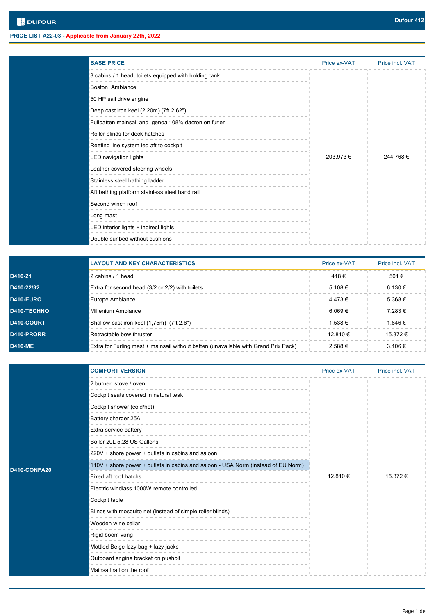| <b>BASE PRICE</b>                                     | Price ex-VAT | Price incl. VAT |
|-------------------------------------------------------|--------------|-----------------|
| 3 cabins / 1 head, toilets equipped with holding tank |              |                 |
| Boston Ambiance                                       |              |                 |
| 50 HP sail drive engine                               |              |                 |
| Deep cast iron keel (2,20m) (7ft 2.62")               |              |                 |
| Fullbatten mainsail and genoa 108% dacron on furler   |              |                 |
| Roller blinds for deck hatches                        |              |                 |
| Reefing line system led aft to cockpit                |              |                 |
| LED navigation lights                                 | 203.973€     | 244.768€        |
| Leather covered steering wheels                       |              |                 |
| Stainless steel bathing ladder                        |              |                 |
| Aft bathing platform stainless steel hand rail        |              |                 |
| Second winch roof                                     |              |                 |
| Long mast                                             |              |                 |
| LED interior lights + indirect lights                 |              |                 |
| Double sunbed without cushions                        |              |                 |

|                | <b>LAYOUT AND KEY CHARACTERISTICS</b>                                               | Price ex-VAT | Price incl. VAT |
|----------------|-------------------------------------------------------------------------------------|--------------|-----------------|
| D410-21        | 2 cabins / 1 head                                                                   | 418€         | 501€            |
| D410-22/32     | Extra for second head (3/2 or 2/2) with toilets                                     | 5.108 €      | 6.130€          |
| D410-EURO      | Europe Ambiance                                                                     | 4.473€       | 5.368 €         |
| D410-TECHNO    | Millenium Ambiance                                                                  | $6.069 \in$  | 7.283€          |
| D410-COURT     | Shallow cast iron keel (1,75m) (7ft 2.6")                                           | 1.538 €      | 1.846€          |
| D410-PRORR     | Retractable bow thruster                                                            | 12810€       | $15.372 \in$    |
| <b>D410-ME</b> | Extra for Furling mast + mainsail without batten (unavailable with Grand Prix Pack) | 2.588 €      | $3.106 \in$     |

|              | <b>COMFORT VERSION</b>                                                            | Price ex-VAT | Price incl. VAT |
|--------------|-----------------------------------------------------------------------------------|--------------|-----------------|
|              | 2 burner stove / oven                                                             |              | 15.372 €        |
|              | Cockpit seats covered in natural teak                                             |              |                 |
|              | Cockpit shower (cold/hot)                                                         |              |                 |
|              | Battery charger 25A                                                               |              |                 |
|              | Extra service battery                                                             |              |                 |
|              | Boiler 20L 5.28 US Gallons                                                        |              |                 |
|              | 220V + shore power + outlets in cabins and saloon                                 | 12.810€      |                 |
| D410-CONFA20 | 110V + shore power + outlets in cabins and saloon - USA Norm (instead of EU Norm) |              |                 |
|              | Fixed aft roof hatchs                                                             |              |                 |
|              | Electric windlass 1000W remote controlled                                         |              |                 |
|              | Cockpit table                                                                     |              |                 |
|              | Blinds with mosquito net (instead of simple roller blinds)                        |              |                 |
|              | Wooden wine cellar                                                                |              |                 |
|              | Rigid boom vang                                                                   |              |                 |
|              | Mottled Beige lazy-bag + lazy-jacks                                               |              |                 |
|              | Outboard engine bracket on pushpit                                                |              |                 |
|              | Mainsail rail on the roof                                                         |              |                 |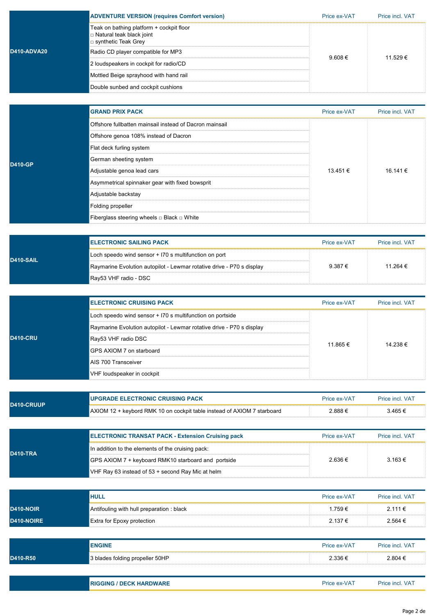|                    | <b>ADVENTURE VERSION (requires Comfort version)</b>                                           | Price ex-VAT | Price incl. VAT |
|--------------------|-----------------------------------------------------------------------------------------------|--------------|-----------------|
|                    | Teak on bathing platform + cockpit floor<br>Natural teak black joint<br>□ synthetic Teak Grey |              |                 |
| <b>D410-ADVA20</b> | Radio CD player compatible for MP3                                                            |              | 11.529 €        |
|                    | 2 loudspeakers in cockpit for radio/CD                                                        | $9.608 \in$  |                 |
|                    | Mottled Beige sprayhood with hand rail                                                        |              |                 |
|                    | Double sunbed and cockpit cushions                                                            |              |                 |
|                    |                                                                                               |              |                 |
|                    | <b>GRAND PRIX PACK</b>                                                                        | Price ex-VAT | Price incl. VAT |
|                    | Offshore fullbatten mainsail instead of Dacron mainsail                                       |              |                 |
|                    | $\sim$ $\sim$ $\sim$<br>$\sqrt{2}$                                                            |              |                 |

|  | D410-GP |  |
|--|---------|--|

| Offshore genoa 108% instead of Dacron           |              |          |  |
|-------------------------------------------------|--------------|----------|--|
| Flat deck furling system                        |              |          |  |
| German sheeting system                          |              |          |  |
| Adjustable genoa lead cars                      | $13.451 \in$ | 16.141 € |  |
| Asymmetrical spinnaker gear with fixed bowsprit |              |          |  |
| Adjustable backstay                             |              |          |  |
| Folding propeller                               |              |          |  |
| Fiberglass steering wheels □ Black □ White      |              |          |  |
|                                                 |              |          |  |

| D410-SAIL | I ELECTRONIC SAILING PACK                                             | Price ex-VAT | <b>Price incl VAT</b> |
|-----------|-----------------------------------------------------------------------|--------------|-----------------------|
|           | Loch speedo wind sensor + I70 s multifunction on port                 |              |                       |
|           | Raymarine Evolution autopilot - Lewmar rotative drive - P70 s display | $9.387 \in$  | 11 264 €              |
|           | ¶Ray53 VHF radio - DSC                                                |              |                       |

|                 | <b>IELECTRONIC CRUISING PACK</b>                                      | Price ex-VAT | Price incl. VAT |
|-----------------|-----------------------------------------------------------------------|--------------|-----------------|
| <b>D410-CRU</b> | Loch speedo wind sensor + I70 s multifunction on portside             |              | 14 238 €        |
|                 | Raymarine Evolution autopilot - Lewmar rotative drive - P70 s display |              |                 |
|                 | Ray53 VHF radio DSC                                                   | 11 865 €     |                 |
|                 | GPS AXIOM 7 on starboard                                              |              |                 |
|                 | AIS 700 Transceiver                                                   |              |                 |
|                 | VHF loudspeaker in cockpit!                                           |              |                 |

| <b>D410-CRUUP</b> | <b>UPGRADE ELECTRONIC CRUISING PACK</b>                                            | Price ex-VAT | <b>Price incl. VAT</b> |
|-------------------|------------------------------------------------------------------------------------|--------------|------------------------|
|                   | $\epsilon$ AXIOM 12 + keybord RMK 10 on cockpit table instead of AXIOM 7 starboard | 2.888€       | 3.465 €                |
|                   |                                                                                    |              |                        |

| <b>D410-TRA</b> | <b>ELECTRONIC TRANSAT PACK - Extension Cruising pack</b> | Price ex-VAT | Price incl. VAT |
|-----------------|----------------------------------------------------------|--------------|-----------------|
|                 | In addition to the elements of the cruising pack:        |              | 3.163 €         |
|                 | GPS AXIOM 7 + keyboard RMK10 starboard and portside      | 2 636 €      |                 |
|                 | VHF Ray 63 instead of $53 +$ second Ray Mic at helm      |              |                 |

|            | <b>HULL</b>                              | Price ex-VAT | Price incl. VAT |
|------------|------------------------------------------|--------------|-----------------|
| D410-NOIR  | Antifouling with hull preparation: black | 1.759€       | 2.111€          |
| D410-NOIRE | <b>Extra for Epoxy protection</b>        | $2.137 \in$  | $2.564 \in$     |

|          | <b>ENGINE</b>                                | Price ex-VAT | Price incl. VAT |
|----------|----------------------------------------------|--------------|-----------------|
| D410-R50 | <sup>€</sup> 3 blades folding propeller 50HP | 2.336€       | 2.804 €         |
|          |                                              |              |                 |

| <b>HARDWARF</b><br><b>RIGGING</b><br>$\sim$<br>דוח<br>77 J.W | $\cdot$ VA.<br>165 | \ / /\<br><sup>O</sup> rice incl. |
|--------------------------------------------------------------|--------------------|-----------------------------------|
|--------------------------------------------------------------|--------------------|-----------------------------------|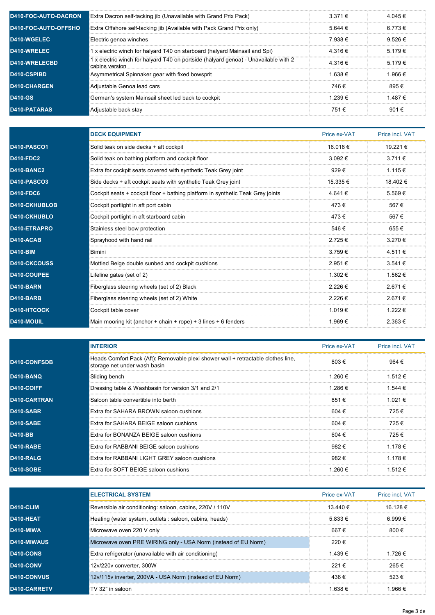| <b>D410-FOC-AUTO-DACRON</b> | Extra Dacron self-tacking jib (Unavailable with Grand Prix Pack)                                      | $3.371 \in$      | 4.045 €     |
|-----------------------------|-------------------------------------------------------------------------------------------------------|------------------|-------------|
| D410-FOC-AUTO-OFFSHO        | Extra Offshore self-tacking jib (Available with Pack Grand Prix only)                                 | 5.644 €          | 6.773 €     |
| D410-WGELEC                 | i Electric genoa winches                                                                              | 7 938 €          | $9.526 \in$ |
| D410-WRELEC                 | 1 x electric winch for halyard T40 on starboard (halyard Mainsail and Spi)                            | 4 316 €          | $5.179 \in$ |
| <b>D410-WRELECBD</b>        | 1 x electric winch for halyard T40 on portside (halyard genoa) - Unavailable with 2<br>cabins version | 4 316 €          | 5.179 €     |
| D410-CSPIBD                 | Asymmetrical Spinnaker gear with fixed bowsprit                                                       | 1 638 $\epsilon$ | 1.966€      |
| <b>D410-CHARGEN</b>         | Adjustable Genoa lead cars                                                                            | 746 €            | 895€        |
| <b>D410-GS</b>              | German's system Mainsail sheet led back to cockpit                                                    | 1 239 €          | 1.487 €     |
| D410-PATARAS                | ilAdjustable back stay                                                                                | 751 €            | 901€        |

|                     | <b>DECK EQUIPMENT</b>                                                          | Price ex-VAT | Price incl. VAT |
|---------------------|--------------------------------------------------------------------------------|--------------|-----------------|
| D410-PASCO1         | Solid teak on side decks + aft cockpit                                         | 16.018€      | 19.221€         |
| <b>D410-FDC2</b>    | Solid teak on bathing platform and cockpit floor                               | 3.092€       | $3.711 \in$     |
| <b>D410-BANC2</b>   | Extra for cockpit seats covered with synthetic Teak Grey joint                 | 929€         | 1.115 €         |
| <b>D410-PASCO3</b>  | Side decks + aft cockpit seats with synthetic Teak Grey joint                  | 15.335 €     | 18.402 €        |
| <b>D410-FDC6</b>    | Cockpit seats + cockpit floor + bathing platform in synthetic Teak Grey joints | 4.641€       | 5.569€          |
| D410-CKHUBLOB       | Cockpit portlight in aft port cabin                                            | 473€         | 567€            |
| D410-CKHUBLO        | Cockpit portlight in aft starboard cabin                                       | 473€         | 567€            |
| D410-ETRAPRO        | Stainless steel bow protection                                                 | 546€         | 655€            |
| <b>D410-ACAB</b>    | Sprayhood with hand rail                                                       | 2.725€       | 3.270€          |
| <b>D410-BIM</b>     | <b>Bimini</b>                                                                  | 3.759€       | 4.511 €         |
| <b>D410-CKCOUSS</b> | Mottled Beige double sunbed and cockpit cushions                               | 2.951€       | $3.541 \in$     |
| D410-COUPEE         | Lifeline gates (set of 2)                                                      | 1.302 €      | 1.562 €         |
| D410-BARN           | Fiberglass steering wheels (set of 2) Black                                    | 2.226€       | 2.671€          |
| <b>D410-BARB</b>    | Fiberglass steering wheels (set of 2) White                                    | 2.226€       | 2.671€          |
| D410-HTCOCK         | Cockpit table cover                                                            | 1.019€       | 1.222 €         |
| D410-MOUIL          | Main mooring kit (anchor + chain + rope) + 3 lines + 6 fenders                 | 1.969€       | 2.363€          |

|                  | <b>INTERIOR</b>                                                                                                   | Price ex-VAT | Price incl. VAT |
|------------------|-------------------------------------------------------------------------------------------------------------------|--------------|-----------------|
| D410-CONFSDB     | Heads Comfort Pack (Aft): Removable plexi shower wall + retractable clothes line,<br>storage net under wash basin | 803€         | 964 €           |
| D410-BANQ        | Sliding bench                                                                                                     | 1.260 €      | 1.512€          |
| D410-COIFF       | Dressing table & Washbasin for version 3/1 and 2/1                                                                | 1.286€       | 1.544 €         |
| D410-CARTRAN     | Saloon table convertible into berth                                                                               | 851€         | 1.021 €         |
| D410-SABR        | <b>Fxtra for SAHARA BROWN saloon cushions</b>                                                                     | 604€         | 725 €           |
| <b>D410-SABE</b> | Extra for SAHARA BEIGE saloon cushions                                                                            | 604€         | 725€            |
| <b>D410-BB</b>   | <b>Extra for BONANZA BEIGE saloon cushions</b>                                                                    | 604€         | 725 €           |
| <b>D410-RABE</b> | Extra for RABBANI BEIGE saloon cushions                                                                           | 982€         | 1.178€          |
| D410-RALG        | Extra for RABBANI LIGHT GREY saloon cushions                                                                      | 982€         | 1.178 €         |
| <b>D410-SOBE</b> | Extra for SOFT BEIGE saloon cushions                                                                              | 1.260€       | 1.512€          |

|              | <b>IELECTRICAL SYSTEM</b>                                      | Price ex-VAT | <b>Price incl VAT</b> |
|--------------|----------------------------------------------------------------|--------------|-----------------------|
| D410-CLIM    | Reversible air conditioning: saloon, cabins, 220V / 110V       | 13.440 €     | 16.128 €              |
| D410-HEAT    | Heating (water system, outlets : saloon, cabins, heads)        | 5.833 €      | 6.999€                |
| D410-MIWA    | Microwave oven 220 V only                                      | 667 €        | 800 €                 |
| D410-MIWAUS  | Microwave oven PRE WIRING only - USA Norm (instead of EU Norm) | 220€         |                       |
| D410-CONS    | Extra refrigerator (unavailable with air conditioning)         | 1439€        | 1 726 €               |
| D410-CONV    | 12v/220v converter, 300W                                       | 221 €        | 265 €                 |
| D410-CONVUS  | 12v/115v inverter, 200VA - USA Norm (instead of EU Norm)       | 436€         | $523 \in$             |
| D410-CARRETV | TV 32" in saloon                                               | 1 638 €      | 1 966 €               |